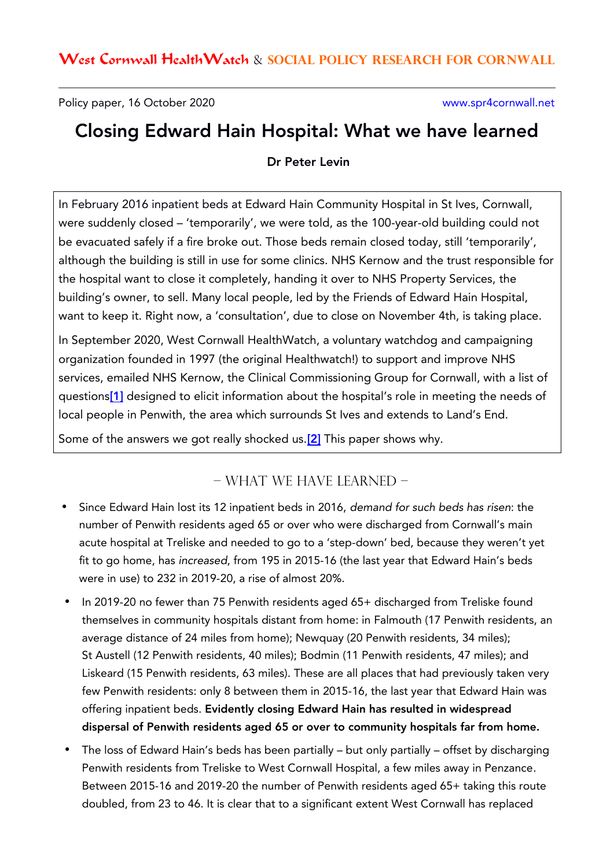Policy paper, 16 October 2020 www.spr4cornwall.net

## Closing Edward Hain Hospital: What we have learned

Dr Peter Levin

In February 2016 inpatient beds at Edward Hain Community Hospital in St Ives, Cornwall, were suddenly closed – 'temporarily', we were told, as the 100-year-old building could not be evacuated safely if a fire broke out. Those beds remain closed today, still 'temporarily', although the building is still in use for some clinics. NHS Kernow and the trust responsible for the hospital want to close it completely, handing it over to NHS Property Services, the building's owner, to sell. Many local people, led by the Friends of Edward Hain Hospital, want to keep it. Right now, a 'consultation', due to close on November 4th, is taking place.

In September 2020, West Cornwall HealthWatch, a voluntary watchdog and campaigning organization founded in 1997 (the original Healthwatch!) to support and improve NHS services, emailed NHS Kernow, the Clinical Commissioning Group for Cornwall, with a list of questions<sup>[\[1\]](https://spr4cornwall.net/wp-content/uploads/EDWARD-HAIN-COMMUNITY-HOSPITAL-REVIEW-REQUEST-FOR-INFORMATION.pdf)</sup> designed to elicit information about the hospital's role in meeting the needs of local people in Penwith, the area which surrounds St Ives and extends to Land's End.

Some of the answers we got really shocked us.<sup>[\[2\]](https://spr4cornwall.net/wp-content/uploads/1-Response-to-Edward-Hain-community-hospital-review-questions.pdf)</sup> This paper shows why.

## – WHAT WE HAVE LEARNED –

- Since Edward Hain lost its 12 inpatient beds in 2016, demand for such beds has risen: the number of Penwith residents aged 65 or over who were discharged from Cornwall's main acute hospital at Treliske and needed to go to a 'step-down' bed, because they weren't yet fit to go home, has increased, from 195 in 2015-16 (the last year that Edward Hain's beds were in use) to 232 in 2019-20, a rise of almost 20%.
- In 2019-20 no fewer than 75 Penwith residents aged 65+ discharged from Treliske found themselves in community hospitals distant from home: in Falmouth (17 Penwith residents, an average distance of 24 miles from home); Newquay (20 Penwith residents, 34 miles); St Austell (12 Penwith residents, 40 miles); Bodmin (11 Penwith residents, 47 miles); and Liskeard (15 Penwith residents, 63 miles). These are all places that had previously taken very few Penwith residents: only 8 between them in 2015-16, the last year that Edward Hain was offering inpatient beds. Evidently closing Edward Hain has resulted in widespread dispersal of Penwith residents aged 65 or over to community hospitals far from home.
- The loss of Edward Hain's beds has been partially but only partially offset by discharging Penwith residents from Treliske to West Cornwall Hospital, a few miles away in Penzance. Between 2015-16 and 2019-20 the number of Penwith residents aged 65+ taking this route doubled, from 23 to 46. It is clear that to a significant extent West Cornwall has replaced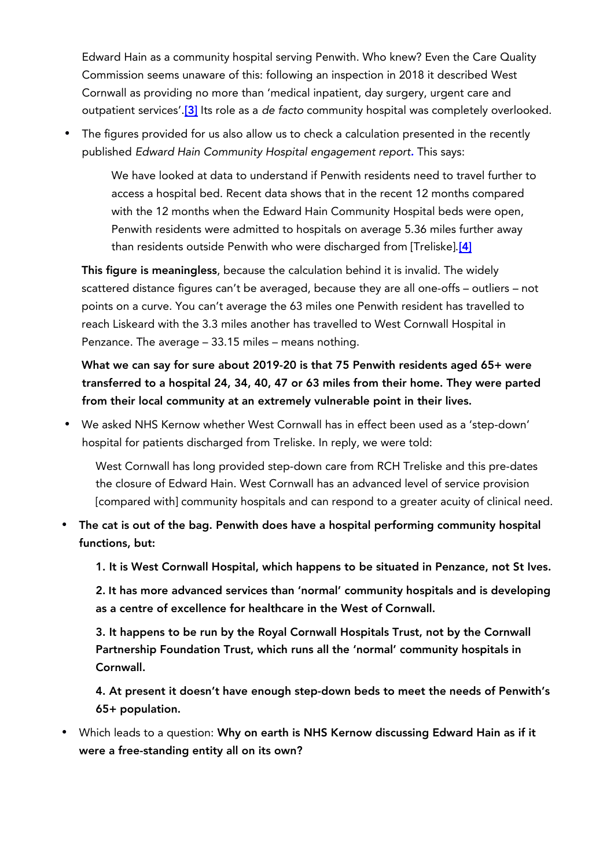Edward Hain as a community hospital serving Penwith. Who knew? Even the Care Quality Commission seems unaware of this: following an inspection in 2018 it described West Cornwall as providing no more than 'medical inpatient, day surgery, urgent care and outpatient services'.<sup>[\[3\]](https://www.cqc.org.uk/location/REF01/reports)</sup> Its role as a de facto community hospital was completely overlooked.

 The figures provided for us also allow us to check a calculation presented in the recently published Edward Hain Community Hospital engagement report. This says:

We have looked at data to understand if Penwith residents need to travel further to access a hospital bed. Recent data shows that in the recent 12 months compared with the 12 months when the Edward Hain Community Hospital beds were open, Penwith residents were admitted to hospitals on average 5.36 miles further away than residents outside Penwith who were discharged from [Treliske].<sup>[\[4\]](https://spr4cornwall.net/wp-content/uploads/Edward-Hain-Community-Hospital-engagement-report-email-version.pdf)</sup>

This figure is meaningless, because the calculation behind it is invalid. The widely scattered distance figures can't be averaged, because they are all one-offs – outliers – not points on a curve. You can't average the 63 miles one Penwith resident has travelled to reach Liskeard with the 3.3 miles another has travelled to West Cornwall Hospital in Penzance. The average – 33.15 miles – means nothing.

What we can say for sure about 2019-20 is that 75 Penwith residents aged 65+ were transferred to a hospital 24, 34, 40, 47 or 63 miles from their home. They were parted from their local community at an extremely vulnerable point in their lives.

 We asked NHS Kernow whether West Cornwall has in effect been used as a 'step-down' hospital for patients discharged from Treliske. In reply, we were told:

West Cornwall has long provided step-down care from RCH Treliske and this pre-dates the closure of Edward Hain. West Cornwall has an advanced level of service provision [compared with] community hospitals and can respond to a greater acuity of clinical need.

 The cat is out of the bag. Penwith does have a hospital performing community hospital functions, but:

1. It is West Cornwall Hospital, which happens to be situated in Penzance, not St Ives.

2. **I**t has more advanced services than 'normal' community hospitals and is developing as a centre of excellence for healthcare in the West of Cornwall.

3. It happens to be run by the Royal Cornwall Hospitals Trust, not by the Cornwall Partnership Foundation Trust, which runs all the 'normal' community hospitals in Cornwall.

4. At present it doesn't have enough step-down beds to meet the needs of Penwith's 65+ population.

 Which leads to a question: Why on earth is NHS Kernow discussing Edward Hain as if it were a free-standing entity all on its own?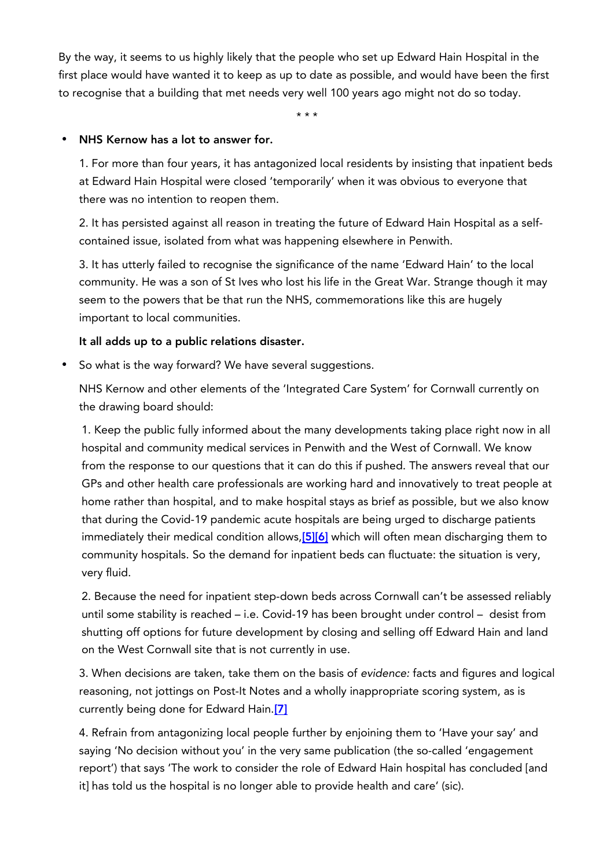By the way, it seems to us highly likely that the people who set up Edward Hain Hospital in the first place would have wanted it to keep as up to date as possible, and would have been the first to recognise that a building that met needs very well 100 years ago might not do so today.

\* \* \*

## NHS Kernow has a lot to answer for.

1. For more than four years, it has antagonized local residents by insisting that inpatient beds at Edward Hain Hospital were closed 'temporarily' when it was obvious to everyone that there was no intention to reopen them.

2. It has persisted against all reason in treating the future of Edward Hain Hospital as a selfcontained issue, isolated from what was happening elsewhere in Penwith.

3. It has utterly failed to recognise the significance of the name 'Edward Hain' to the local community. He was a son of St Ives who lost his life in the Great War. Strange though it may seem to the powers that be that run the NHS, commemorations like this are hugely important to local communities.

## It all adds up to a public relations disaster.

• So what is the way forward? We have several suggestions.

NHS Kernow and other elements of the 'Integrated Care System' for Cornwall currently on the drawing board should:

1. Keep the public fully informed about the many developments taking place right now in all hospital and community medical services in Penwith and the West of Cornwall. We know from the response to our questions that it can do this if pushed. The answers reveal that our GPs and other health care professionals are working hard and innovatively to treat people at home rather than hospital, and to make hospital stays as brief as possible, but we also know that during the Covid-19 pandemic acute hospitals are being urged to discharge patients immediately their medical condition allows, [\[5\]](https://assets.publishing.service.gov.uk/government/uploads/system/uploads/attachment_data/file/912199/Hospital_Discharge_Policy_1.pdf)[6] which will often mean discharging them to community hospitals. So the demand for inpatient beds can fluctuate: the situation is very, very fluid.

2. Because the need for inpatient step-down beds across Cornwall can't be assessed reliably until some stability is reached – i.e. Covid-19 has been brought under control – desist from shutting off options for future development by closing and selling off Edward Hain and land on the West Cornwall site that is not currently in use.

3. When decisions are taken, take them on the basis of evidence: facts and figures and logical reasoning, not jottings on Post-It Notes and a wholly inappropriate scoring system, as is currently being done for Edward Hain.[\[7\]](https://spr4cornwall.net/wp-content/uploads/Submission-to-KCCG-for-Governing-Body-meeting-6.10.2020.pdf)

4. Refrain from antagonizing local people further by enjoining them to 'Have your say' and saying 'No decision without you' in the very same publication (the so-called 'engagement report') that says 'The work to consider the role of Edward Hain hospital has concluded [and it] has told us the hospital is no longer able to provide health and care' (sic).